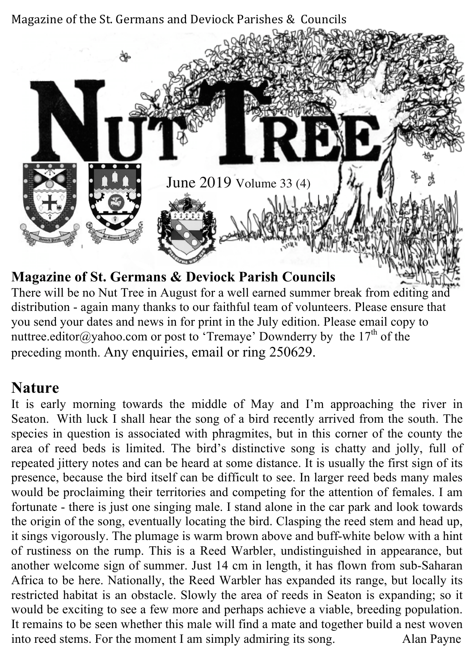

There will be no Nut Tree in August for a well earned summer break from editing and distribution - again many thanks to our faithful team of volunteers. Please ensure that you send your dates and news in for print in the July edition. Please email copy to nuttree.editor@yahoo.com or post to 'Tremaye' Downderry by the  $17<sup>th</sup>$  of the preceding month. Any enquiries, email or ring 250629.

#### **Nature**

It is early morning towards the middle of May and I'm approaching the river in Seaton. With luck I shall hear the song of a bird recently arrived from the south. The species in question is associated with phragmites, but in this corner of the county the area of reed beds is limited. The bird's distinctive song is chatty and jolly, full of repeated jittery notes and can be heard at some distance. It is usually the first sign of its presence, because the bird itself can be difficult to see. In larger reed beds many males would be proclaiming their territories and competing for the attention of females. I am fortunate - there is just one singing male. I stand alone in the car park and look towards the origin of the song, eventually locating the bird. Clasping the reed stem and head up, it sings vigorously. The plumage is warm brown above and buff-white below with a hint of rustiness on the rump. This is a Reed Warbler, undistinguished in appearance, but another welcome sign of summer. Just 14 cm in length, it has flown from sub-Saharan Africa to be here. Nationally, the Reed Warbler has expanded its range, but locally its restricted habitat is an obstacle. Slowly the area of reeds in Seaton is expanding; so it would be exciting to see a few more and perhaps achieve a viable, breeding population. It remains to be seen whether this male will find a mate and together build a nest woven into reed stems. For the moment I am simply admiring its song. Alan Payne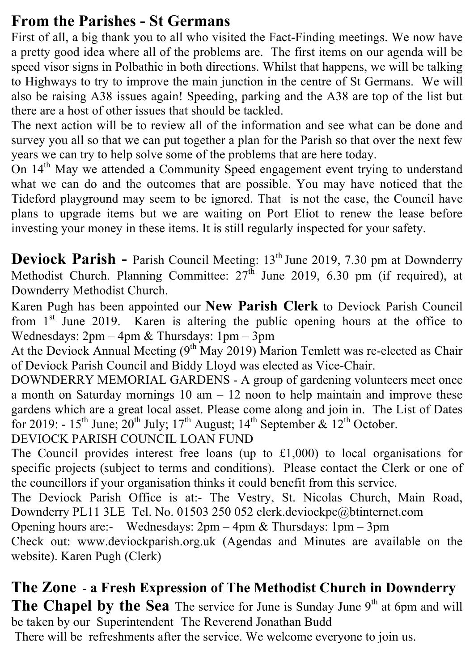#### **From the Parishes - St Germans**

First of all, a big thank you to all who visited the Fact-Finding meetings. We now have a pretty good idea where all of the problems are. The first items on our agenda will be speed visor signs in Polbathic in both directions. Whilst that happens, we will be talking to Highways to try to improve the main junction in the centre of St Germans. We will also be raising A38 issues again! Speeding, parking and the A38 are top of the list but there are a host of other issues that should be tackled.

The next action will be to review all of the information and see what can be done and survey you all so that we can put together a plan for the Parish so that over the next few years we can try to help solve some of the problems that are here today.

On 14<sup>th</sup> May we attended a Community Speed engagement event trying to understand what we can do and the outcomes that are possible. You may have noticed that the Tideford playground may seem to be ignored. That is not the case, the Council have plans to upgrade items but we are waiting on Port Eliot to renew the lease before investing your money in these items. It is still regularly inspected for your safety.

**Deviock Parish -** Parish Council Meeting: 13<sup>th</sup> June 2019, 7.30 pm at Downderry Methodist Church. Planning Committee:  $27<sup>th</sup>$  June 2019, 6.30 pm (if required), at Downderry Methodist Church.

Karen Pugh has been appointed our **New Parish Clerk** to Deviock Parish Council from  $1<sup>st</sup>$  June 2019. Karen is altering the public opening hours at the office to Wednesdays: 2pm – 4pm & Thursdays: 1pm – 3pm

At the Deviock Annual Meeting  $(9<sup>th</sup> May 2019)$  Marion Temlett was re-elected as Chair of Deviock Parish Council and Biddy Lloyd was elected as Vice-Chair.

DOWNDERRY MEMORIAL GARDENS - A group of gardening volunteers meet once a month on Saturday mornings  $10 \text{ am} - 12 \text{ noon}$  to help maintain and improve these gardens which are a great local asset. Please come along and join in. The List of Dates for 2019: -  $15^{th}$  June;  $20^{th}$  July;  $17^{th}$  August;  $14^{th}$  September &  $12^{th}$  October.

DEVIOCK PARISH COUNCIL LOAN FUND

The Council provides interest free loans (up to £1,000) to local organisations for specific projects (subject to terms and conditions). Please contact the Clerk or one of the councillors if your organisation thinks it could benefit from this service.

The Deviock Parish Office is at:- The Vestry, St. Nicolas Church, Main Road, Downderry PL11 3LE Tel. No. 01503 250 052 clerk.deviockpc@btinternet.com

Opening hours are:- Wednesdays: 2pm – 4pm & Thursdays: 1pm – 3pm

Check out: www.deviockparish.org.uk (Agendas and Minutes are available on the website). Karen Pugh (Clerk)

#### **The Zone** - **a Fresh Expression of The Methodist Church in Downderry** The Chapel by the Sea The service for June is Sunday June 9<sup>th</sup> at 6pm and will

be taken by our Superintendent The Reverend Jonathan Budd

There will be refreshments after the service. We welcome everyone to join us.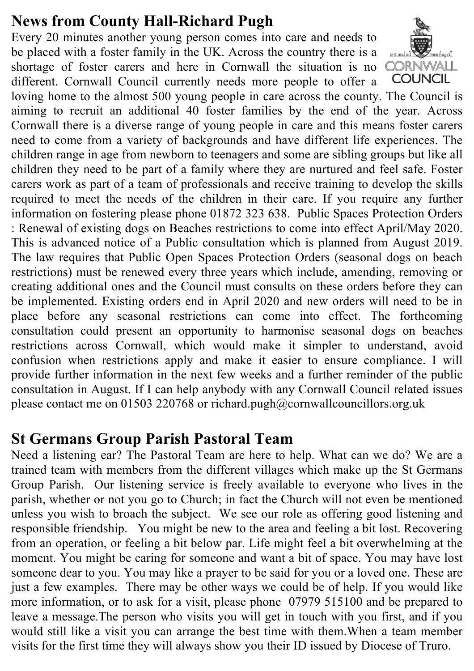#### **News from County Hall-Richard Pugh**

Every 20 minutes another young person comes into care and needs to be placed with a foster family in the UK. Across the country there is a shortage of foster carers and here in Cornwall the situation is no different. Cornwall Council currently needs more people to offer a



loving home to the almost 500 young people in care across the county. The Council is aiming to recruit an additional 40 foster families by the end of the year. Across Cornwall there is a diverse range of young people in care and this means foster carers need to come from a variety of backgrounds and have different life experiences. The children range in age from newborn to teenagers and some are sibling groups but like all children they need to be part of a family where they are nurtured and feel safe. Foster carers work as part of a team of professionals and receive training to develop the skills required to meet the needs of the children in their care. If you require any further information on fostering please phone 01872 323 638. Public Spaces Protection Orders : Renewal of existing dogs on Beaches restrictions to come into effect April/May 2020. This is advanced notice of a Public consultation which is planned from August 2019. The law requires that Public Open Spaces Protection Orders (seasonal dogs on beach restrictions) must be renewed every three years which include, amending, removing or creating additional ones and the Council must consults on these orders before they can be implemented. Existing orders end in April 2020 and new orders will need to be in place before any seasonal restrictions can come into effect. The forthcoming consultation could present an opportunity to harmonise seasonal dogs on beaches restrictions across Cornwall, which would make it simpler to understand, avoid confusion when restrictions apply and make it easier to ensure compliance. I will provide further information in the next few weeks and a further reminder of the public consultation in August. If I can help anybody with any Cornwall Council related issues please contact me on 01503 220768 or richard.pugh@cornwallcouncillors.org.uk

#### **St Germans Group Parish Pastoral Team**

Need a listening ear? The Pastoral Team are here to help. What can we do? We are a trained team with members from the different villages which make up the St Germans Group Parish. Our listening service is freely available to everyone who lives in the parish, whether or not you go to Church; in fact the Church will not even be mentioned unless you wish to broach the subject. We see our role as offering good listening and responsible friendship. You might be new to the area and feeling a bit lost. Recovering from an operation, or feeling a bit below par. Life might feel a bit overwhelming at the moment. You might be caring for someone and want a bit of space. You may have lost someone dear to you. You may like a prayer to be said for you or a loved one. These are just a few examples. There may be other ways we could be of help. If you would like more information, or to ask for a visit, please phone 07979 515100 and be prepared to leave a message.The person who visits you will get in touch with you first, and if you would still like a visit you can arrange the best time with them.When a team member visits for the first time they will always show you their ID issued by Diocese of Truro.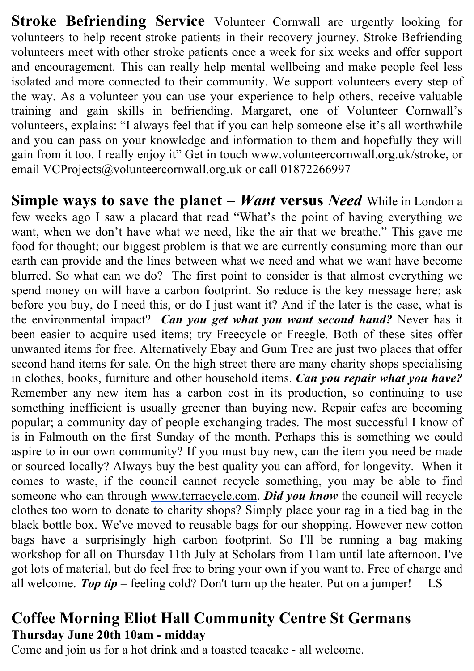**Stroke Befriending Service** Volunteer Cornwall are urgently looking for volunteers to help recent stroke patients in their recovery journey. Stroke Befriending volunteers meet with other stroke patients once a week for six weeks and offer support and encouragement. This can really help mental wellbeing and make people feel less isolated and more connected to their community. We support volunteers every step of the way. As a volunteer you can use your experience to help others, receive valuable training and gain skills in befriending. Margaret, one of Volunteer Cornwall's volunteers, explains: "I always feel that if you can help someone else it's all worthwhile and you can pass on your knowledge and information to them and hopefully they will gain from it too. I really enjoy it" Get in touch www.volunteercornwall.org.uk/stroke, or email VCProjects@volunteercornwall.org.uk or call 01872266997

**Simple ways to save the planet –** *Want* **versus** *Need* While in London a few weeks ago I saw a placard that read "What's the point of having everything we want, when we don't have what we need, like the air that we breathe." This gave me food for thought; our biggest problem is that we are currently consuming more than our earth can provide and the lines between what we need and what we want have become blurred. So what can we do? The first point to consider is that almost everything we spend money on will have a carbon footprint. So reduce is the key message here; ask before you buy, do I need this, or do I just want it? And if the later is the case, what is the environmental impact? *Can you get what you want second hand?* Never has it been easier to acquire used items; try Freecycle or Freegle. Both of these sites offer unwanted items for free. Alternatively Ebay and Gum Tree are just two places that offer second hand items for sale. On the high street there are many charity shops specialising in clothes, books, furniture and other household items. *Can you repair what you have?* Remember any new item has a carbon cost in its production, so continuing to use something inefficient is usually greener than buying new. Repair cafes are becoming popular; a community day of people exchanging trades. The most successful I know of is in Falmouth on the first Sunday of the month. Perhaps this is something we could aspire to in our own community? If you must buy new, can the item you need be made or sourced locally? Always buy the best quality you can afford, for longevity. When it comes to waste, if the council cannot recycle something, you may be able to find someone who can through www.terracycle.com. *Did you know* the council will recycle clothes too worn to donate to charity shops? Simply place your rag in a tied bag in the black bottle box. We've moved to reusable bags for our shopping. However new cotton bags have a surprisingly high carbon footprint. So I'll be running a bag making workshop for all on Thursday 11th July at Scholars from 11am until late afternoon. I've got lots of material, but do feel free to bring your own if you want to. Free of charge and all welcome. *Top tip* – feeling cold? Don't turn up the heater. Put on a jumper! LS

#### **Coffee Morning Eliot Hall Community Centre St Germans Thursday June 20th 10am - midday**

Come and join us for a hot drink and a toasted teacake - all welcome.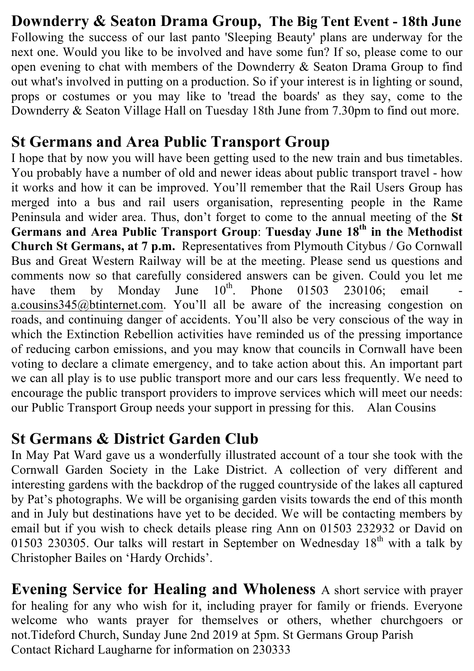#### **Downderry & Seaton Drama Group, The Big Tent Event - 18th June**  Following the success of our last panto 'Sleeping Beauty' plans are underway for the next one. Would you like to be involved and have some fun? If so, please come to our open evening to chat with members of the Downderry & Seaton Drama Group to find out what's involved in putting on a production. So if your interest is in lighting or sound, props or costumes or you may like to 'tread the boards' as they say, come to the Downderry & Seaton Village Hall on Tuesday 18th June from 7.30pm to find out more.

#### **St Germans and Area Public Transport Group**

I hope that by now you will have been getting used to the new train and bus timetables. You probably have a number of old and newer ideas about public transport travel - how it works and how it can be improved. You'll remember that the Rail Users Group has merged into a bus and rail users organisation, representing people in the Rame Peninsula and wider area. Thus, don't forget to come to the annual meeting of the **St Germans and Area Public Transport Group**: **Tuesday June 18th in the Methodist Church St Germans, at 7 p.m.** Representatives from Plymouth Citybus / Go Cornwall Bus and Great Western Railway will be at the meeting. Please send us questions and comments now so that carefully considered answers can be given. Could you let me have them by Monday June  $10^{th}$ . Phone 01503 230106; email have them by Monday June  $10^{th}$ . Phone 01503 230106; email a.cousins345@btinternet.com. You'll all be aware of the increasing congestion on roads, and continuing danger of accidents. You'll also be very conscious of the way in which the Extinction Rebellion activities have reminded us of the pressing importance of reducing carbon emissions, and you may know that councils in Cornwall have been voting to declare a climate emergency, and to take action about this. An important part we can all play is to use public transport more and our cars less frequently. We need to encourage the public transport providers to improve services which will meet our needs: our Public Transport Group needs your support in pressing for this. Alan Cousins

#### **St Germans & District Garden Club**

In May Pat Ward gave us a wonderfully illustrated account of a tour she took with the Cornwall Garden Society in the Lake District. A collection of very different and interesting gardens with the backdrop of the rugged countryside of the lakes all captured by Pat's photographs. We will be organising garden visits towards the end of this month and in July but destinations have yet to be decided. We will be contacting members by email but if you wish to check details please ring Ann on 01503 232932 or David on 01503 230305. Our talks will restart in September on Wednesday  $18<sup>th</sup>$  with a talk by Christopher Bailes on 'Hardy Orchids'.

**Evening Service for Healing and Wholeness** A short service with prayer for healing for any who wish for it, including prayer for family or friends. Everyone welcome who wants prayer for themselves or others, whether churchgoers or not.Tideford Church, Sunday June 2nd 2019 at 5pm. St Germans Group Parish Contact Richard Laugharne for information on 230333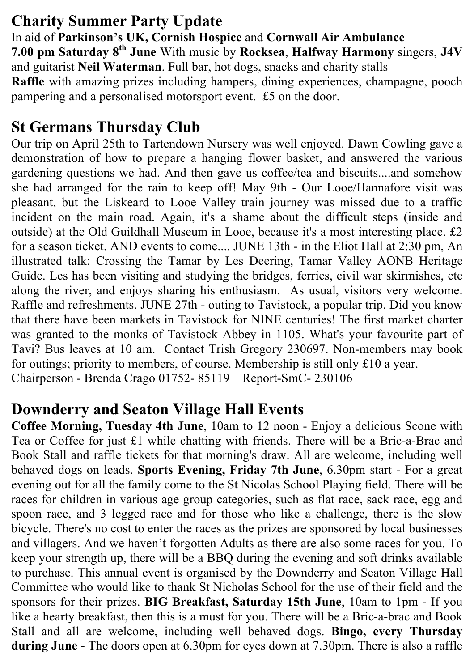## **Charity Summer Party Update**

In aid of **Parkinson's UK, Cornish Hospice** and **Cornwall Air Ambulance 7.00 pm Saturday 8th June** With music by **Rocksea**, **Halfway Harmony** singers, **J4V** and guitarist **Neil Waterman**. Full bar, hot dogs, snacks and charity stalls **Raffle** with amazing prizes including hampers, dining experiences, champagne, pooch pampering and a personalised motorsport event. £5 on the door.

# **St Germans Thursday Club**

Our trip on April 25th to Tartendown Nursery was well enjoyed. Dawn Cowling gave a demonstration of how to prepare a hanging flower basket, and answered the various gardening questions we had. And then gave us coffee/tea and biscuits....and somehow she had arranged for the rain to keep off! May 9th - Our Looe/Hannafore visit was pleasant, but the Liskeard to Looe Valley train journey was missed due to a traffic incident on the main road. Again, it's a shame about the difficult steps (inside and outside) at the Old Guildhall Museum in Looe, because it's a most interesting place. £2 for a season ticket. AND events to come.... JUNE 13th - in the Eliot Hall at 2:30 pm, An illustrated talk: Crossing the Tamar by Les Deering, Tamar Valley AONB Heritage Guide. Les has been visiting and studying the bridges, ferries, civil war skirmishes, etc along the river, and enjoys sharing his enthusiasm. As usual, visitors very welcome. Raffle and refreshments. JUNE 27th - outing to Tavistock, a popular trip. Did you know that there have been markets in Tavistock for NINE centuries! The first market charter was granted to the monks of Tavistock Abbey in 1105. What's your favourite part of Tavi? Bus leaves at 10 am. Contact Trish Gregory 230697. Non-members may book for outings; priority to members, of course. Membership is still only £10 a year. Chairperson - Brenda Crago 01752- 85119 Report-SmC- 230106

# **Downderry and Seaton Village Hall Events**

**Coffee Morning, Tuesday 4th June**, 10am to 12 noon - Enjoy a delicious Scone with Tea or Coffee for just £1 while chatting with friends. There will be a Bric-a-Brac and Book Stall and raffle tickets for that morning's draw. All are welcome, including well behaved dogs on leads. **Sports Evening, Friday 7th June**, 6.30pm start - For a great evening out for all the family come to the St Nicolas School Playing field. There will be races for children in various age group categories, such as flat race, sack race, egg and spoon race, and 3 legged race and for those who like a challenge, there is the slow bicycle. There's no cost to enter the races as the prizes are sponsored by local businesses and villagers. And we haven't forgotten Adults as there are also some races for you. To keep your strength up, there will be a BBQ during the evening and soft drinks available to purchase. This annual event is organised by the Downderry and Seaton Village Hall Committee who would like to thank St Nicholas School for the use of their field and the sponsors for their prizes. **BIG Breakfast, Saturday 15th June**, 10am to 1pm - If you like a hearty breakfast, then this is a must for you. There will be a Bric-a-brac and Book Stall and all are welcome, including well behaved dogs. **Bingo, every Thursday during June** - The doors open at 6.30pm for eyes down at 7.30pm. There is also a raffle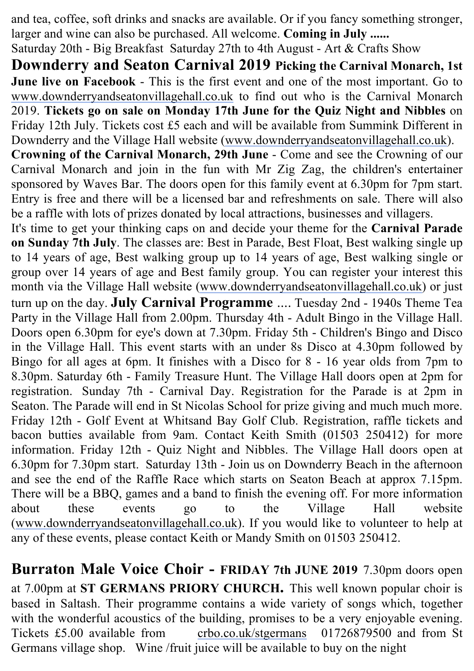and tea, coffee, soft drinks and snacks are available. Or if you fancy something stronger, larger and wine can also be purchased. All welcome. **Coming in July ......**

Saturday 20th - Big Breakfast Saturday 27th to 4th August - Art & Crafts Show

**Downderry and Seaton Carnival 2019 Picking the Carnival Monarch, 1st June live on Facebook** - This is the first event and one of the most important. Go to www.downderryandseatonvillagehall.co.uk to find out who is the Carnival Monarch 2019. **Tickets go on sale on Monday 17th June for the Quiz Night and Nibbles** on Friday 12th July. Tickets cost £5 each and will be available from Summink Different in Downderry and the Village Hall website (www.downderryandseatonvillagehall.co.uk).

**Crowning of the Carnival Monarch, 29th June** - Come and see the Crowning of our Carnival Monarch and join in the fun with Mr Zig Zag, the children's entertainer sponsored by Waves Bar. The doors open for this family event at 6.30pm for 7pm start. Entry is free and there will be a licensed bar and refreshments on sale. There will also be a raffle with lots of prizes donated by local attractions, businesses and villagers.

It's time to get your thinking caps on and decide your theme for the **Carnival Parade on Sunday 7th July**. The classes are: Best in Parade, Best Float, Best walking single up to 14 years of age, Best walking group up to 14 years of age, Best walking single or group over 14 years of age and Best family group. You can register your interest this month via the Village Hall website (www.downderryandseatonvillagehall.co.uk) or just turn up on the day. **July Carnival Programme** .... Tuesday 2nd - 1940s Theme Tea Party in the Village Hall from 2.00pm. Thursday 4th - Adult Bingo in the Village Hall. Doors open 6.30pm for eye's down at 7.30pm. Friday 5th - Children's Bingo and Disco in the Village Hall. This event starts with an under 8s Disco at 4.30pm followed by Bingo for all ages at 6pm. It finishes with a Disco for 8 - 16 year olds from 7pm to 8.30pm. Saturday 6th - Family Treasure Hunt. The Village Hall doors open at 2pm for registration. Sunday 7th - Carnival Day. Registration for the Parade is at 2pm in Seaton. The Parade will end in St Nicolas School for prize giving and much much more. Friday 12th - Golf Event at Whitsand Bay Golf Club. Registration, raffle tickets and bacon butties available from 9am. Contact Keith Smith (01503 250412) for more information. Friday 12th - Quiz Night and Nibbles. The Village Hall doors open at 6.30pm for 7.30pm start. Saturday 13th - Join us on Downderry Beach in the afternoon and see the end of the Raffle Race which starts on Seaton Beach at approx 7.15pm. There will be a BBQ, games and a band to finish the evening off. For more information about these events go to the Village Hall website (www.downderryandseatonvillagehall.co.uk). If you would like to volunteer to help at any of these events, please contact Keith or Mandy Smith on 01503 250412.

**Burraton Male Voice Choir - FRIDAY 7th JUNE 2019** 7.30pm doors open at 7.00pm at **ST GERMANS PRIORY CHURCH.** This well known popular choir is based in Saltash. Their programme contains a wide variety of songs which, together with the wonderful acoustics of the building, promises to be a very enjoyable evening. Tickets £5.00 available from crbo.co.uk/stgermans 01726879500 and from St Germans village shop. Wine /fruit juice will be available to buy on the night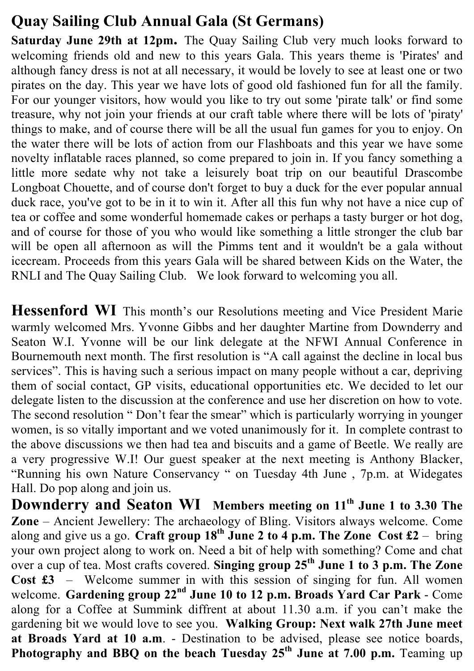## **Quay Sailing Club Annual Gala (St Germans)**

**Saturday June 29th at 12pm.** The Quay Sailing Club very much looks forward to welcoming friends old and new to this years Gala. This years theme is 'Pirates' and although fancy dress is not at all necessary, it would be lovely to see at least one or two pirates on the day. This year we have lots of good old fashioned fun for all the family. For our younger visitors, how would you like to try out some 'pirate talk' or find some treasure, why not join your friends at our craft table where there will be lots of 'piraty' things to make, and of course there will be all the usual fun games for you to enjoy. On the water there will be lots of action from our Flashboats and this year we have some novelty inflatable races planned, so come prepared to join in. If you fancy something a little more sedate why not take a leisurely boat trip on our beautiful Drascombe Longboat Chouette, and of course don't forget to buy a duck for the ever popular annual duck race, you've got to be in it to win it. After all this fun why not have a nice cup of tea or coffee and some wonderful homemade cakes or perhaps a tasty burger or hot dog, and of course for those of you who would like something a little stronger the club bar will be open all afternoon as will the Pimms tent and it wouldn't be a gala without icecream. Proceeds from this years Gala will be shared between Kids on the Water, the RNLI and The Quay Sailing Club. We look forward to welcoming you all.

**Hessenford WI** This month's our Resolutions meeting and Vice President Marie warmly welcomed Mrs. Yvonne Gibbs and her daughter Martine from Downderry and Seaton W.I. Yvonne will be our link delegate at the NFWI Annual Conference in Bournemouth next month. The first resolution is "A call against the decline in local bus services". This is having such a serious impact on many people without a car, depriving them of social contact, GP visits, educational opportunities etc. We decided to let our delegate listen to the discussion at the conference and use her discretion on how to vote. The second resolution " Don't fear the smear" which is particularly worrying in younger women, is so vitally important and we voted unanimously for it. In complete contrast to the above discussions we then had tea and biscuits and a game of Beetle. We really are a very progressive W.I! Our guest speaker at the next meeting is Anthony Blacker, "Running his own Nature Conservancy " on Tuesday 4th June , 7p.m. at Widegates Hall. Do pop along and join us.

**Downderry and Seaton WI Members meeting on 11th June 1 to 3.30 The Zone** – Ancient Jewellery: The archaeology of Bling. Visitors always welcome. Come along and give us a go. **Craft group 18<sup>th</sup> June 2 to 4 p.m. The Zone Cost £2** – bring your own project along to work on. Need a bit of help with something? Come and chat over a cup of tea. Most crafts covered. **Singing group 25th June 1 to 3 p.m. The Zone Cost £3** – Welcome summer in with this session of singing for fun. All women welcome. **Gardening group 22nd June 10 to 12 p.m. Broads Yard Car Park** - Come along for a Coffee at Summink diffrent at about 11.30 a.m. if you can't make the gardening bit we would love to see you. **Walking Group: Next walk 27th June meet at Broads Yard at 10 a.m**. - Destination to be advised, please see notice boards, **Photography and BBQ on the beach Tuesday 25th June at 7.00 p.m.** Teaming up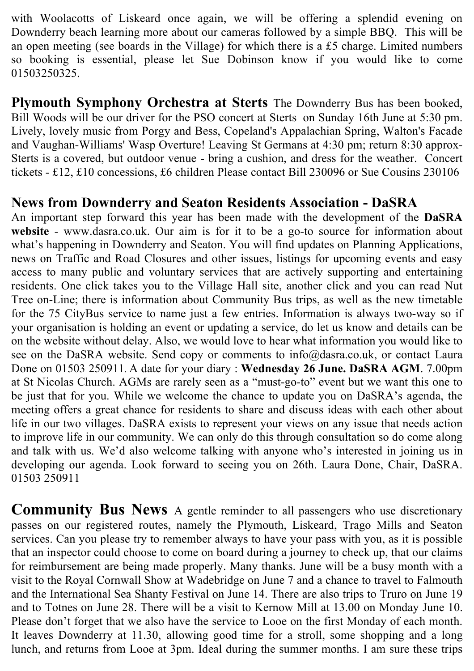with Woolacotts of Liskeard once again, we will be offering a splendid evening on Downderry beach learning more about our cameras followed by a simple BBQ. This will be an open meeting (see boards in the Village) for which there is a £5 charge. Limited numbers so booking is essential, please let Sue Dobinson know if you would like to come 01503250325.

**Plymouth Symphony Orchestra at Sterts** The Downderry Bus has been booked, Bill Woods will be our driver for the PSO concert at Sterts on Sunday 16th June at 5:30 pm. Lively, lovely music from Porgy and Bess, Copeland's Appalachian Spring, Walton's Facade and Vaughan-Williams' Wasp Overture! Leaving St Germans at 4:30 pm; return 8:30 approx-Sterts is a covered, but outdoor venue - bring a cushion, and dress for the weather. Concert tickets - £12, £10 concessions, £6 children Please contact Bill 230096 or Sue Cousins 230106

#### **News from Downderry and Seaton Residents Association - DaSRA**

An important step forward this year has been made with the development of the **DaSRA website** - www.dasra.co.uk. Our aim is for it to be a go-to source for information about what's happening in Downderry and Seaton. You will find updates on Planning Applications, news on Traffic and Road Closures and other issues, listings for upcoming events and easy access to many public and voluntary services that are actively supporting and entertaining residents. One click takes you to the Village Hall site, another click and you can read Nut Tree on-Line; there is information about Community Bus trips, as well as the new timetable for the 75 CityBus service to name just a few entries. Information is always two-way so if your organisation is holding an event or updating a service, do let us know and details can be on the website without delay. Also, we would love to hear what information you would like to see on the DaSRA website. Send copy or comments to info@dasra.co.uk, or contact Laura Done on 01503 250911. A date for your diary : **Wednesday 26 June. DaSRA AGM**. 7.00pm at St Nicolas Church. AGMs are rarely seen as a "must-go-to" event but we want this one to be just that for you. While we welcome the chance to update you on DaSRA's agenda, the meeting offers a great chance for residents to share and discuss ideas with each other about life in our two villages. DaSRA exists to represent your views on any issue that needs action to improve life in our community. We can only do this through consultation so do come along and talk with us. We'd also welcome talking with anyone who's interested in joining us in developing our agenda. Look forward to seeing you on 26th. Laura Done, Chair, DaSRA. 01503 250911

**Community Bus News** A gentle reminder to all passengers who use discretionary passes on our registered routes, namely the Plymouth, Liskeard, Trago Mills and Seaton services. Can you please try to remember always to have your pass with you, as it is possible that an inspector could choose to come on board during a journey to check up, that our claims for reimbursement are being made properly. Many thanks. June will be a busy month with a visit to the Royal Cornwall Show at Wadebridge on June 7 and a chance to travel to Falmouth and the International Sea Shanty Festival on June 14. There are also trips to Truro on June 19 and to Totnes on June 28. There will be a visit to Kernow Mill at 13.00 on Monday June 10. Please don't forget that we also have the service to Looe on the first Monday of each month. It leaves Downderry at 11.30, allowing good time for a stroll, some shopping and a long lunch, and returns from Looe at 3pm. Ideal during the summer months. I am sure these trips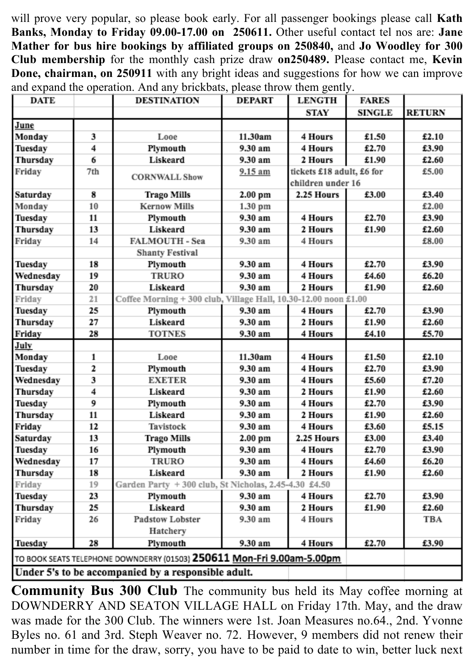will prove very popular, so please book early. For all passenger bookings please call **Kath Banks, Monday to Friday 09.00-17.00 on 250611.** Other useful contact tel nos are: **Jane Mather for bus hire bookings by affiliated groups on 250840,** and **Jo Woodley for 300 Club membership** for the monthly cash prize draw **on250489.** Please contact me, **Kevin Done, chairman, on 250911** with any bright ideas and suggestions for how we can improve and expand the operation. And any brickbats, please throw them gently.

| DATE                                                                   |     | <b>DESTINATION</b>                                              | <b>DEPART</b> | <b>LENGTH</b>             | <b>FARES</b>  |               |
|------------------------------------------------------------------------|-----|-----------------------------------------------------------------|---------------|---------------------------|---------------|---------------|
|                                                                        |     |                                                                 |               | STAY                      | <b>SINGLE</b> | <b>RETURN</b> |
| June                                                                   |     |                                                                 |               |                           |               |               |
| Monday                                                                 | 3   | Looe                                                            | 11.30am       | 4 Hours                   | £1.50         | £2.10         |
| Tuesday                                                                | 4   | Plymouth                                                        | 9.30 am       | 4 Hours                   | £2.70         | £3.90         |
| Thursday                                                               | 6   | Liskeard                                                        | 9.30 am       | 2 Hours                   | £1.90         | £2.60         |
| Friday                                                                 | 7th | <b>CORNWALL Show</b>                                            | 9.15 am       | tickets £18 adult, £6 for |               | £5.00         |
|                                                                        |     |                                                                 |               | children under 16         |               |               |
| Saturday                                                               | 8   | <b>Trago Mills</b>                                              | 2.00 pm       | 2.25 Hours                | £3.00         | £3.40         |
| Monday                                                                 | 10  | <b>Kernow Mills</b>                                             | 1.30 pm       |                           |               | £2.00         |
| Tuesday                                                                | 11  | Plymouth                                                        | 9.30 am       | 4 Hours                   | £2.70         | £3.90         |
| Thursday                                                               | 13  | Liskeard                                                        | 9.30 am       | 2 Hours                   | £1.90         | £2.60         |
| Friday                                                                 | 14  | <b>FALMOUTH - Sea</b>                                           | 9.30 am       | 4 Hours                   |               | £8.00         |
|                                                                        |     | <b>Shanty Festival</b>                                          |               |                           |               |               |
| Tuesday                                                                | 18  | Plymouth                                                        | 9.30 am       | 4 Hours                   | £2.70         | £3.90         |
| Wednesday                                                              | 19  | <b>TRURO</b>                                                    | 9.30 am       | 4 Hours                   | £4.60         | £6.20         |
| Thursday                                                               | 20  | Liskeard                                                        | 9.30 am       | 2 Hours                   | £1.90         | £2.60         |
| Friday                                                                 | 21  | Coffee Morning + 300 club, Village Hall, 10.30-12.00 noon £1.00 |               |                           |               |               |
| Tuesday                                                                | 25  | Plymouth                                                        | 9.30 am       | 4 Hours                   | £2.70         | £3.90         |
| Thursday                                                               | 27  | Liskeard                                                        | 9.30 am       | 2 Hours                   | £1.90         | £2.60         |
| Friday                                                                 | 28  | <b>TOTNES</b>                                                   | 9.30 am       | 4 Hours                   | £4.10         | £5.70         |
| July                                                                   |     |                                                                 |               |                           |               |               |
| Monday                                                                 | 1   | Looe                                                            | 11.30am       | 4 Hours                   | £1.50         | £2.10         |
| Tuesday                                                                | 2   | Plymouth                                                        | 9.30 am       | 4 Hours                   | £2.70         | £3.90         |
| Wednesday                                                              | 3   | <b>EXETER</b>                                                   | 9.30 am       | 4 Hours                   | £5.60         | £7.20         |
| Thursday                                                               | 4   | Liskeard                                                        | 9.30 am       | 2 Hours                   | £1.90         | £2.60         |
| Tuesday                                                                | 9   | Plymouth                                                        | 9.30 am       | 4 Hours                   | £2.70         | £3.90         |
| Thursday                                                               | 11  | Liskeard                                                        | 9.30 am       | 2 Hours                   | £1.90         | £2.60         |
| Friday                                                                 | 12  | Tavistock                                                       | 9.30 am       | 4 Hours                   | £3.60         | £5.15         |
| Saturday                                                               | 13  | <b>Trago Mills</b>                                              | 2.00 pm       | 2.25 Hours                | £3.00         | £3.40         |
| Tuesday                                                                | 16  | Plymouth                                                        | 9.30 am       | 4 Hours                   | £2.70         | £3.90         |
| Wednesday                                                              | 17  | <b>TRURO</b>                                                    | 9.30 am       | 4 Hours                   | £4.60         | £6.20         |
| Thursday                                                               | 18  | Liskeard                                                        | 9.30 am       | 2 Hours                   | £1.90         | £2.60         |
| Friday                                                                 | 19  | Garden Party + 300 club, St Nicholas, 2.45-4.30 £4.50           |               |                           |               |               |
| Tuesday                                                                | 23  | Plymouth                                                        | 9.30 am       | 4 Hours                   | £2.70         | £3.90         |
| Thursday                                                               | 25  | Liskeard                                                        | 9.30 am       | 2 Hours                   | £1.90         | £2.60         |
| Friday                                                                 | 26  | <b>Padstow Lobster</b>                                          | 9.30 am       | 4 Hours                   |               | TBA           |
|                                                                        |     | Hatchery                                                        |               |                           |               |               |
| Tuesday                                                                | 28  | Plymouth                                                        | 9.30 am       | 4 Hours                   | £2.70         | £3.90         |
| TO BOOK SEATS TELEPHONE DOWNDERRY (01503) 250611 Mon-Fri 9.00am-5.00pm |     |                                                                 |               |                           |               |               |
| Under 5's to be accompanied by a responsible adult.                    |     |                                                                 |               |                           |               |               |

**Community Bus 300 Club** The community bus held its May coffee morning at DOWNDERRY AND SEATON VILLAGE HALL on Friday 17th. May, and the draw was made for the 300 Club. The winners were 1st. Joan Measures no.64., 2nd. Yvonne Byles no. 61 and 3rd. Steph Weaver no. 72. However, 9 members did not renew their number in time for the draw, sorry, you have to be paid to date to win, better luck next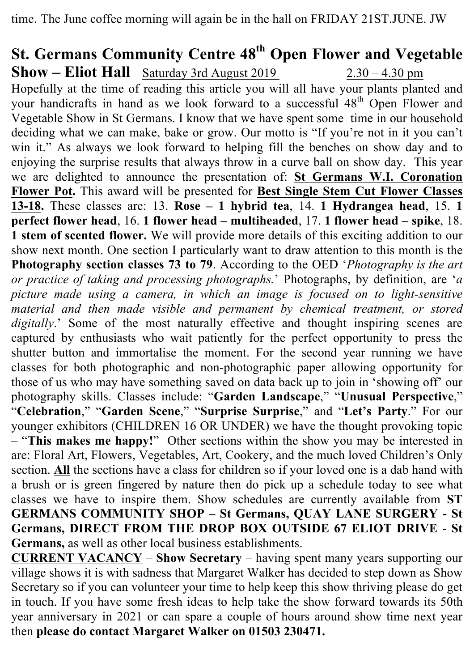time. The June coffee morning will again be in the hall on FRIDAY 21ST.JUNE. JW

## **St. Germans Community Centre 48th Open Flower and Vegetable Show – Eliot Hall** Saturday 3rd August 2019 2.30 – 4.30 pm

Hopefully at the time of reading this article you will all have your plants planted and your handicrafts in hand as we look forward to a successful 48<sup>th</sup> Open Flower and Vegetable Show in St Germans. I know that we have spent some time in our household deciding what we can make, bake or grow. Our motto is "If you're not in it you can't win it." As always we look forward to helping fill the benches on show day and to enjoying the surprise results that always throw in a curve ball on show day. This year we are delighted to announce the presentation of: **St Germans W.I. Coronation Flower Pot.** This award will be presented for **Best Single Stem Cut Flower Classes 13-18.** These classes are: 13. **Rose – 1 hybrid tea**, 14. **1 Hydrangea head**, 15. **1 perfect flower head**, 16. **1 flower head – multiheaded**, 17. **1 flower head – spike**, 18. **1 stem of scented flower.** We will provide more details of this exciting addition to our show next month. One section I particularly want to draw attention to this month is the **Photography section classes 73 to 79**. According to the OED '*Photography is the art or practice of taking and processing photographs.*' Photographs, by definition, are '*a picture made using a camera, in which an image is focused on to light-sensitive material and then made visible and permanent by chemical treatment, or stored digitally*.' Some of the most naturally effective and thought inspiring scenes are captured by enthusiasts who wait patiently for the perfect opportunity to press the shutter button and immortalise the moment. For the second year running we have classes for both photographic and non-photographic paper allowing opportunity for those of us who may have something saved on data back up to join in 'showing off' our photography skills. Classes include: "**Garden Landscape**," "**Unusual Perspective**," "**Celebration**," "**Garden Scene**," "**Surprise Surprise**," and "**Let's Party**." For our younger exhibitors (CHILDREN 16 OR UNDER) we have the thought provoking topic – "**This makes me happy!**" Other sections within the show you may be interested in are: Floral Art, Flowers, Vegetables, Art, Cookery, and the much loved Children's Only section. **All** the sections have a class for children so if your loved one is a dab hand with a brush or is green fingered by nature then do pick up a schedule today to see what classes we have to inspire them. Show schedules are currently available from **ST GERMANS COMMUNITY SHOP – St Germans, QUAY LANE SURGERY - St Germans, DIRECT FROM THE DROP BOX OUTSIDE 67 ELIOT DRIVE - St Germans,** as well as other local business establishments.

**CURRENT VACANCY** – **Show Secretary** – having spent many years supporting our village shows it is with sadness that Margaret Walker has decided to step down as Show Secretary so if you can volunteer your time to help keep this show thriving please do get in touch. If you have some fresh ideas to help take the show forward towards its 50th year anniversary in 2021 or can spare a couple of hours around show time next year then **please do contact Margaret Walker on 01503 230471.**